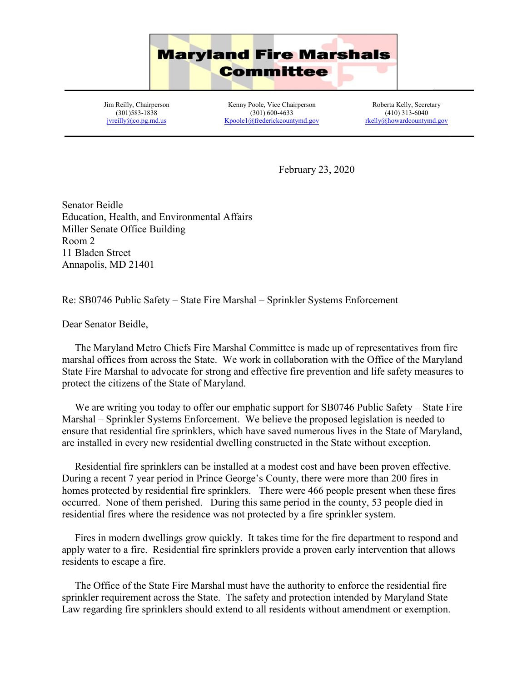

Jim Reilly, Chairperson (301)583-1838 [jvreilly@co.pg.md.us](mailto:jvreilly@co.pg.md.us)

Kenny Poole, Vice Chairperson (301) 600-4633 [Kpoole1@frederickcountymd.gov](mailto:Kpoole1@frederickcountymd.gov)

Roberta Kelly, Secretary (410) 313-6040 [rkelly@howardcountymd.gov](mailto:rkelly@howardcountymd.gov)

February 23, 2020

Senator Beidle Education, Health, and Environmental Affairs Miller Senate Office Building Room 2 11 Bladen Street Annapolis, MD 21401

Re: SB0746 Public Safety – State Fire Marshal – Sprinkler Systems Enforcement

Dear Senator Beidle,

 The Maryland Metro Chiefs Fire Marshal Committee is made up of representatives from fire marshal offices from across the State. We work in collaboration with the Office of the Maryland State Fire Marshal to advocate for strong and effective fire prevention and life safety measures to protect the citizens of the State of Maryland.

We are writing you today to offer our emphatic support for SB0746 Public Safety – State Fire Marshal – Sprinkler Systems Enforcement. We believe the proposed legislation is needed to ensure that residential fire sprinklers, which have saved numerous lives in the State of Maryland, are installed in every new residential dwelling constructed in the State without exception.

 Residential fire sprinklers can be installed at a modest cost and have been proven effective. During a recent 7 year period in Prince George's County, there were more than 200 fires in homes protected by residential fire sprinklers. There were 466 people present when these fires occurred. None of them perished. During this same period in the county, 53 people died in residential fires where the residence was not protected by a fire sprinkler system.

 Fires in modern dwellings grow quickly. It takes time for the fire department to respond and apply water to a fire. Residential fire sprinklers provide a proven early intervention that allows residents to escape a fire.

 The Office of the State Fire Marshal must have the authority to enforce the residential fire sprinkler requirement across the State. The safety and protection intended by Maryland State Law regarding fire sprinklers should extend to all residents without amendment or exemption.